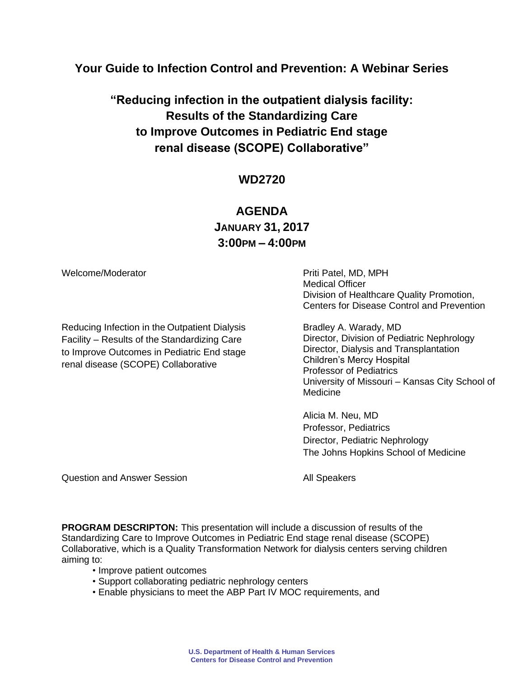**Your Guide to Infection Control and Prevention: A Webinar Series**

**"Reducing infection in the outpatient dialysis facility: Results of the Standardizing Care to Improve Outcomes in Pediatric End stage renal disease (SCOPE) Collaborative"**

## **WD2720**

# **AGENDA JANUARY 31, 2017 3:00PM – 4:00PM**

Reducing Infection in the Outpatient Dialysis Bradley A. Warady, MD Facility – Results of the Standardizing Care Director, Division of Pediatric Nephrology to Improve Outcomes in Pediatric End stage renal disease (SCOPE) Collaborative

Welcome/Moderator **Priti Patel, MD, MPH** Medical Officer Division of Healthcare Quality Promotion, Centers for Disease Control and Prevention

> Director, Dialysis and Transplantation Children's Mercy Hospital Professor of Pediatrics University of Missouri – Kansas City School of Medicine

Alicia M. Neu, MD Professor, Pediatrics Director, Pediatric Nephrology The Johns Hopkins School of Medicine

Question and Answer Session All Speakers

**PROGRAM DESCRIPTON:** This presentation will include a discussion of results of the Standardizing Care to Improve Outcomes in Pediatric End stage renal disease (SCOPE) Collaborative, which is a Quality Transformation Network for dialysis centers serving children aiming to:

- Improve patient outcomes
- Support collaborating pediatric nephrology centers
- Enable physicians to meet the ABP Part IV MOC requirements, and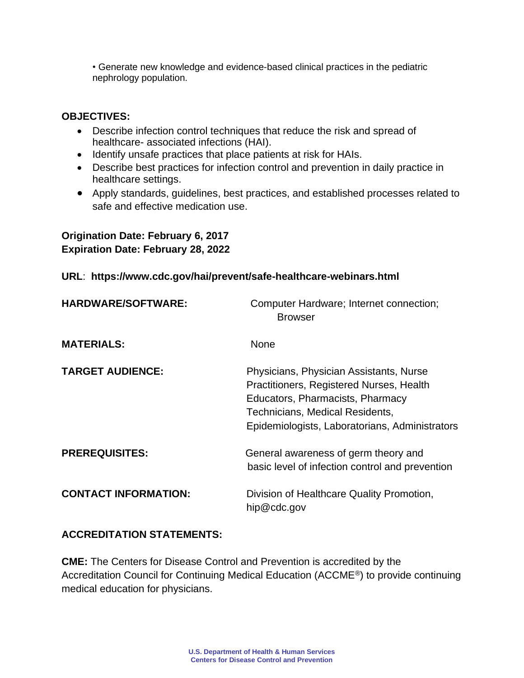• Generate new knowledge and evidence-based clinical practices in the pediatric nephrology population.

### **OBJECTIVES:**

- Describe infection control techniques that reduce the risk and spread of healthcare- associated infections (HAI).
- Identify unsafe practices that place patients at risk for HAIs.
- Describe best practices for infection control and prevention in daily practice in healthcare settings.
- Apply standards, guidelines, best practices, and established processes related to safe and effective medication use.

### **Origination Date: February 6, 2017 Expiration Date: February 28, 2022**

#### **URL**: **<https://www.cdc.gov/hai/prevent/safe-healthcare-webinars.html>**

| <b>HARDWARE/SOFTWARE:</b>   | Computer Hardware; Internet connection;<br><b>Browser</b>                                                                                                                                                           |
|-----------------------------|---------------------------------------------------------------------------------------------------------------------------------------------------------------------------------------------------------------------|
| <b>MATERIALS:</b>           | <b>None</b>                                                                                                                                                                                                         |
| <b>TARGET AUDIENCE:</b>     | Physicians, Physician Assistants, Nurse<br>Practitioners, Registered Nurses, Health<br>Educators, Pharmacists, Pharmacy<br><b>Technicians, Medical Residents,</b><br>Epidemiologists, Laboratorians, Administrators |
| <b>PREREQUISITES:</b>       | General awareness of germ theory and<br>basic level of infection control and prevention                                                                                                                             |
| <b>CONTACT INFORMATION:</b> | Division of Healthcare Quality Promotion,<br>hip@cdc.gov                                                                                                                                                            |

#### **ACCREDITATION STATEMENTS:**

**CME:** The Centers for Disease Control and Prevention is accredited by the Accreditation Council for Continuing Medical Education (ACCME®) to provide continuing medical education for physicians.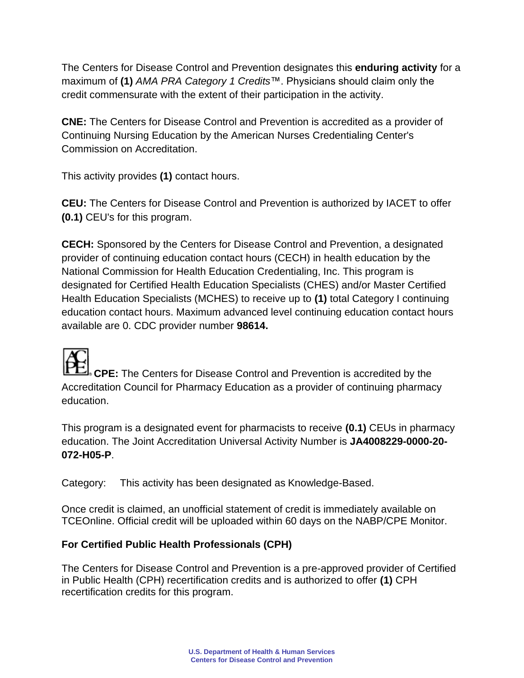The Centers for Disease Control and Prevention designates this **enduring activity** for a maximum of **(1)** *AMA PRA Category 1 Credits*™. Physicians should claim only the credit commensurate with the extent of their participation in the activity.

**CNE:** The Centers for Disease Control and Prevention is accredited as a provider of Continuing Nursing Education by the American Nurses Credentialing Center's Commission on Accreditation.

This activity provides **(1)** contact hours.

**CEU:** The Centers for Disease Control and Prevention is authorized by IACET to offer **(0.1)** CEU's for this program.

**CECH:** Sponsored by the Centers for Disease Control and Prevention, a designated provider of continuing education contact hours (CECH) in health education by the National Commission for Health Education Credentialing, Inc. This program is designated for Certified Health Education Specialists (CHES) and/or Master Certified Health Education Specialists (MCHES) to receive up to **(1)** total Category I continuing education contact hours. Maximum advanced level continuing education contact hours available are 0. CDC provider number **98614.**

# **CPE:** The Centers for Disease Control and Prevention is accredited by the Accreditation Council for Pharmacy Education as a provider of continuing pharmacy education.

This program is a designated event for pharmacists to receive **(0.1)** CEUs in pharmacy education. The Joint Accreditation Universal Activity Number is **JA4008229-0000-20- 072-H05-P**.

Category: This activity has been designated as Knowledge-Based.

Once credit is claimed, an unofficial statement of credit is immediately available on TCEOnline. Official credit will be uploaded within 60 days on the NABP/CPE Monitor.

## **For Certified Public Health Professionals (CPH)**

The Centers for Disease Control and Prevention is a pre-approved provider of Certified in Public Health (CPH) recertification credits and is authorized to offer **(1)** CPH recertification credits for this program.